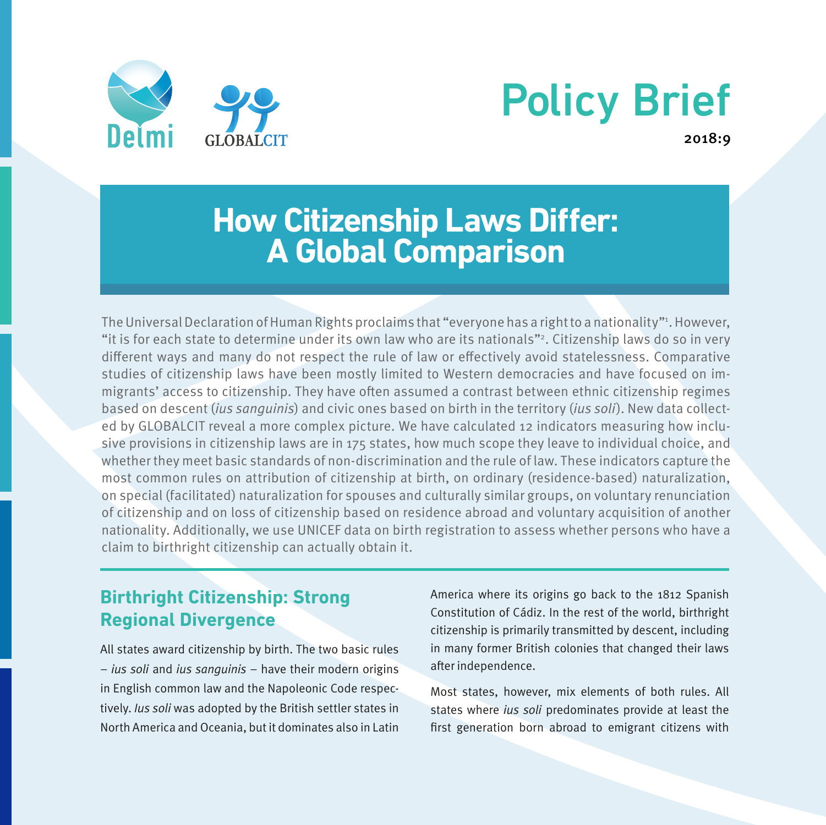

# Policy Brief

2018:9

# **How Citizenship Laws Differ: A Global Comparison**

The Universal Declaration of Human Rights proclaims that "everyone has a right to a nationality"'. However, "it is for each state to determine under its own law who are its nationals"2. Citizenship laws do so in very different ways and many do not respect the rule of law or effectively avoid statelessness. Comparative studies of citizenship laws have been mostly limited to Western democracies and have focused on immigrants' access to citizenship. They have often assumed a contrast between ethnic citizenship regimes based on descent (ius sanguinis) and civic ones based on birth in the territory (ius soli). New data collected by GLOBALCIT reveal a more complex picture. We have calculated 12 indicators measuring how inclusive provisions in citizenship laws are in 175 states, how much scope they leave to individual choice, and whether they meet basic standards of non-discrimination and the rule of law. These indicators capture the most common rules on attribution of citizenship at birth, on ordinary (residence-based) naturalization, on special (facilitated) naturalization for spouses and culturally similar groups, on voluntary renunciation of citizenship and on loss of citizenship based on residence abroad and voluntary acquisition of another nationality. Additionally, we use UNICEF data on birth registration to assess whether persons who have a claim to birthright citizenship can actually obtain it.

# **Birthright Citizenship: Strong Regional Divergence**

All states award citizenship by birth. The two basic rules – ius soli and ius sanguinis – have their modern origins in English common law and the Napoleonic Code respectively. Ius soli was adopted by the British settler states in North America and Oceania, but it dominates also in Latin America where its origins go back to the 1812 Spanish Constitution of Cádiz. In the rest of the world, birthright citizenship is primarily transmitted by descent, including in many former British colonies that changed their laws after independence.

Most states, however, mix elements of both rules. All states where ius soli predominates provide at least the first generation born abroad to emigrant citizens with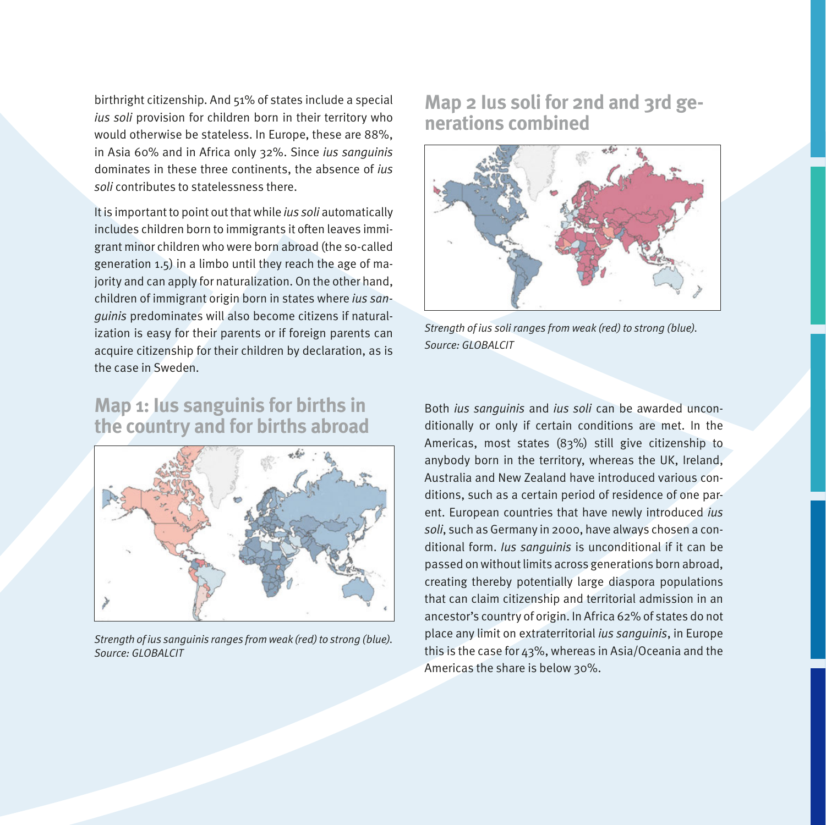birthright citizenship. And 51% of states include a special ius soli provision for children born in their territory who would otherwise be stateless. In Europe, these are 88%, in Asia 60% and in Africa only 32%. Since ius sanguinis dominates in these three continents, the absence of ius soli contributes to statelessness there.

It is important to point out that while ius soli automatically includes children born to immigrants it often leaves immigrant minor children who were born abroad (the so-called generation 1.5) in a limbo until they reach the age of majority and can apply for naturalization. On the other hand, children of immigrant origin born in states where ius sanguinis predominates will also become citizens if naturalization is easy for their parents or if foreign parents can acquire citizenship for their children by declaration, as is the case in Sweden.

#### **Map 1: Ius sanguinis for births in the country and for births abroad**



Strength of ius sanguinis ranges from weak (red) to strong (blue). Source: GLOBALCIT

#### **Map 2 Ius soli for 2nd and 3rd generations combined**



Strength of ius soli ranges from weak (red) to strong (blue). Source: GLOBALCIT

Both ius sanguinis and ius soli can be awarded unconditionally or only if certain conditions are met. In the Americas, most states (83%) still give citizenship to anybody born in the territory, whereas the UK, Ireland, Australia and New Zealand have introduced various conditions, such as a certain period of residence of one parent. European countries that have newly introduced ius soli, such as Germany in 2000, have always chosen a conditional form. Ius sanguinis is unconditional if it can be passed on without limits across generations born abroad, creating thereby potentially large diaspora populations that can claim citizenship and territorial admission in an ancestor's country of origin. In Africa 62% of states do not place any limit on extraterritorial ius sanguinis, in Europe this is the case for 43%, whereas in Asia/Oceania and the Americas the share is below 30%.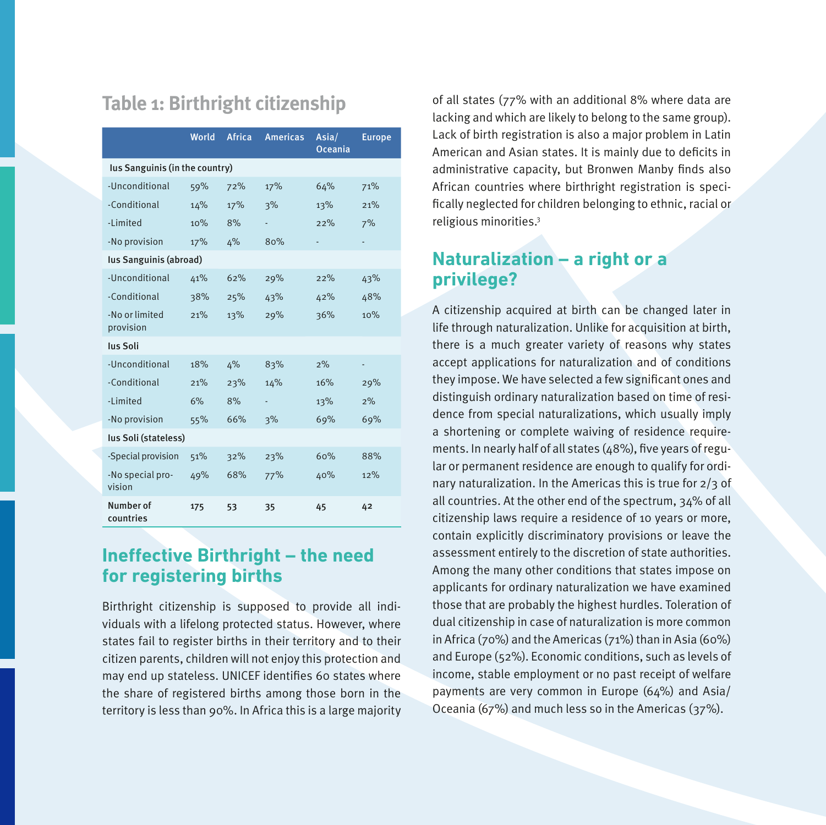# **Table 1: Birthright citizenship**

|                                | World | Africa | <b>Americas</b> | Asia/<br><b>Oceania</b> | <b>Europe</b> |  |  |  |
|--------------------------------|-------|--------|-----------------|-------------------------|---------------|--|--|--|
| lus Sanguinis (in the country) |       |        |                 |                         |               |  |  |  |
| -Unconditional                 | 59%   | 72%    | 17%             | 64%                     | 71%           |  |  |  |
| -Conditional                   | 14%   | 17%    | 3%              | 13%                     | 21%           |  |  |  |
| -Limited                       | 10%   | 8%     |                 | 22%                     | 7%            |  |  |  |
| -No provision                  | 17%   | 4%     | 80%             |                         |               |  |  |  |
| lus Sanguinis (abroad)         |       |        |                 |                         |               |  |  |  |
| -Unconditional                 | 41%   | 62%    | 29%             | 22%                     | 43%           |  |  |  |
| -Conditional                   | 38%   | 25%    | 43%             | 42%                     | 48%           |  |  |  |
| -No or limited<br>provision    | 21%   | 13%    | 29%             | 36%                     | 10%           |  |  |  |
| lus Soli                       |       |        |                 |                         |               |  |  |  |
| -Unconditional                 | 18%   | 4%     | 83%             | 2%                      |               |  |  |  |
| -Conditional                   | 21%   | 23%    | 14%             | 16%                     | 29%           |  |  |  |
| -Limited                       | 6%    | 8%     |                 | 13%                     | 2%            |  |  |  |
| -No provision                  | 55%   | 66%    | 3%              | 69%                     | 69%           |  |  |  |
| lus Soli (stateless)           |       |        |                 |                         |               |  |  |  |
| -Special provision             | 51%   | 32%    | 23%             | 60%                     | 88%           |  |  |  |
| -No special pro-<br>vision     | 49%   | 68%    | 77%             | 40%                     | 12%           |  |  |  |
| Number of<br>countries         | 175   | 53     | 35              | 45                      | 42            |  |  |  |

#### **Ineffective Birthright – the need for registering births**

Birthright citizenship is supposed to provide all individuals with a lifelong protected status. However, where states fail to register births in their territory and to their citizen parents, children will not enjoy this protection and may end up stateless. UNICEF identifies 60 states where the share of registered births among those born in the territory is less than 90%. In Africa this is a large majority of all states (77% with an additional 8% where data are lacking and which are likely to belong to the same group). Lack of birth registration is also a major problem in Latin American and Asian states. It is mainly due to deficits in administrative capacity, but Bronwen Manby finds also African countries where birthright registration is specifically neglected for children belonging to ethnic, racial or religious minorities.3

#### **Naturalization – a right or a privilege?**

A citizenship acquired at birth can be changed later in life through naturalization. Unlike for acquisition at birth, there is a much greater variety of reasons why states accept applications for naturalization and of conditions they impose. We have selected a few significant ones and distinguish ordinary naturalization based on time of residence from special naturalizations, which usually imply a shortening or complete waiving of residence requirements. In nearly half of all states (48%), five years of regular or permanent residence are enough to qualify for ordinary naturalization. In the Americas this is true for 2/3 of all countries. At the other end of the spectrum, 34% of all citizenship laws require a residence of 10 years or more, contain explicitly discriminatory provisions or leave the assessment entirely to the discretion of state authorities. Among the many other conditions that states impose on applicants for ordinary naturalization we have examined those that are probably the highest hurdles. Toleration of dual citizenship in case of naturalization is more common in Africa (70%) and the Americas (71%) than in Asia (60%) and Europe (52%). Economic conditions, such as levels of income, stable employment or no past receipt of welfare payments are very common in Europe (64%) and Asia/ Oceania (67%) and much less so in the Americas (37%).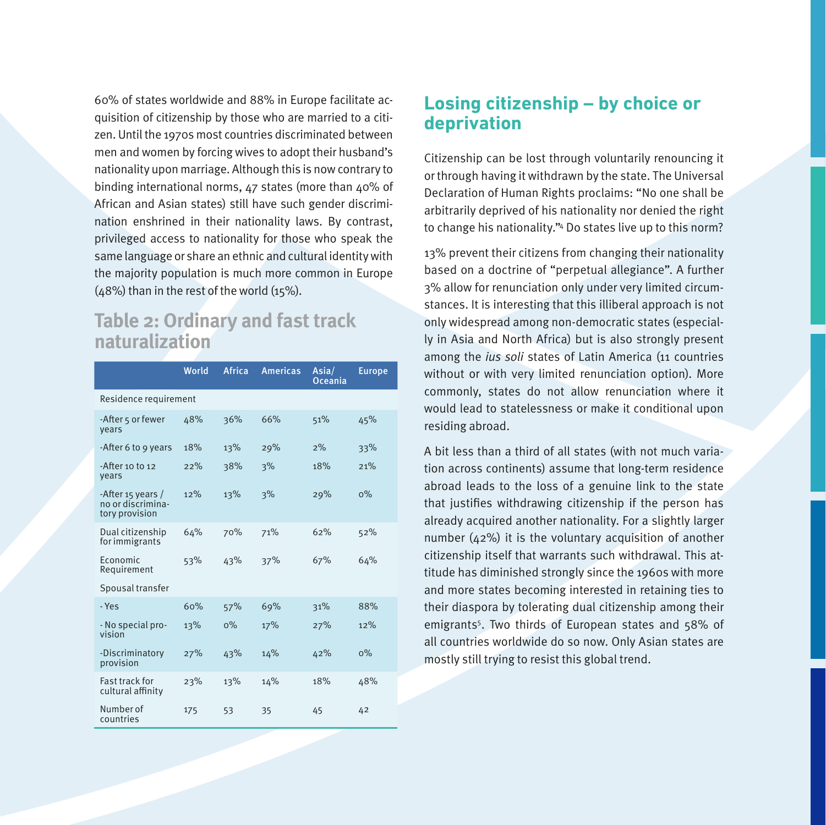60% of states worldwide and 88% in Europe facilitate acquisition of citizenship by those who are married to a citizen. Until the 1970s most countries discriminated between men and women by forcing wives to adopt their husband's nationality upon marriage. Although this is now contrary to binding international norms, 47 states (more than 40% of African and Asian states) still have such gender discrimination enshrined in their nationality laws. By contrast, privileged access to nationality for those who speak the same language or share an ethnic and cultural identity with the majority population is much more common in Europe (48%) than in the rest of the world (15%).

#### **Table 2: Ordinary and fast track naturalization**

|                                                          | World | Africa | <b>Americas</b> | Asia/<br><b>Oceania</b> | <b>Europe</b> |  |  |  |
|----------------------------------------------------------|-------|--------|-----------------|-------------------------|---------------|--|--|--|
| Residence requirement                                    |       |        |                 |                         |               |  |  |  |
| -After 5 or fewer<br>vears                               | 48%   | 36%    | 66%             | 51%                     | 45%           |  |  |  |
| -After 6 to 9 years                                      | 18%   | 13%    | 29%             | 2%                      | 33%           |  |  |  |
| -After 10 to 12<br>vears                                 | 22%   | 38%    | 3%              | 18%                     | 21%           |  |  |  |
| -After 15 years /<br>no or discrimina-<br>tory provision | 12%   | 13%    | 3%              | 29%                     | $0\%$         |  |  |  |
| Dual citizenship<br>for immigrants                       | 64%   | 70%    | 71%             | 62%                     | 52%           |  |  |  |
| Economic<br>Requirement                                  | 53%   | 43%    | 37%             | 67%                     | 64%           |  |  |  |
| Spousal transfer                                         |       |        |                 |                         |               |  |  |  |
| - Yes                                                    | 60%   | 57%    | 69%             | 31%                     | 88%           |  |  |  |
| - No special pro-<br>vision                              | 13%   | $0\%$  | 17%             | 27%                     | 12%           |  |  |  |
| -Discriminatory<br>provision                             | 27%   | 43%    | 14%             | 42%                     | $0\%$         |  |  |  |
| <b>Fast track for</b><br>cultural affinity               | 23%   | 13%    | 14%             | 18%                     | 48%           |  |  |  |
| Number of<br>countries                                   | 175   | 53     | 35              | 45                      | 42            |  |  |  |

#### **Losing citizenship – by choice or deprivation**

Citizenship can be lost through voluntarily renouncing it or through having it withdrawn by the state. The Universal Declaration of Human Rights proclaims: "No one shall be arbitrarily deprived of his nationality nor denied the right to change his nationality."4 Do states live up to this norm?

13% prevent their citizens from changing their nationality based on a doctrine of "perpetual allegiance". A further 3% allow for renunciation only under very limited circumstances. It is interesting that this illiberal approach is not only widespread among non-democratic states (especially in Asia and North Africa) but is also strongly present among the ius soli states of Latin America (11 countries without or with very limited renunciation option). More commonly, states do not allow renunciation where it would lead to statelessness or make it conditional upon residing abroad.

A bit less than a third of all states (with not much variation across continents) assume that long-term residence abroad leads to the loss of a genuine link to the state that justifies withdrawing citizenship if the person has already acquired another nationality. For a slightly larger number (42%) it is the voluntary acquisition of another citizenship itself that warrants such withdrawal. This attitude has diminished strongly since the 1960s with more and more states becoming interested in retaining ties to their diaspora by tolerating dual citizenship among their emigrants<sup>5</sup>. Two thirds of European states and 58% of all countries worldwide do so now. Only Asian states are mostly still trying to resist this global trend.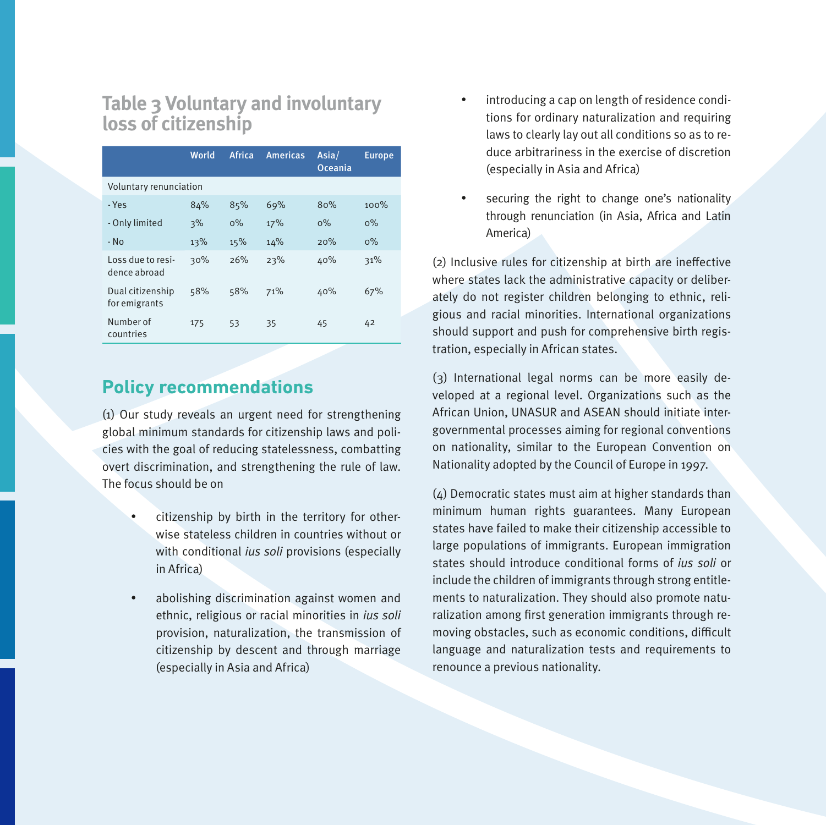### **Table 3 Voluntary and involuntary loss of citizenship**

|                                   | World | Africa | <b>Americas</b> | Asia/<br>Oceania | <b>Europe</b> |  |  |
|-----------------------------------|-------|--------|-----------------|------------------|---------------|--|--|
| Voluntary renunciation            |       |        |                 |                  |               |  |  |
| - Yes                             | 84%   | 85%    | 69%             | 80%              | 100%          |  |  |
| - Only limited                    | 3%    | $0\%$  | 17%             | $0\%$            | $0\%$         |  |  |
| $-$ No                            | 13%   | 15%    | 14%             | 20%              | $0\%$         |  |  |
| Loss due to resi-<br>dence abroad | 30%   | 26%    | 23%             | 40%              | 31%           |  |  |
| Dual citizenship<br>for emigrants | 58%   | 58%    | 71%             | 40%              | 67%           |  |  |
| Number of<br>countries            | 175   | 53     | 35              | 45               | 42            |  |  |

#### **Policy recommendations**

(1) Our study reveals an urgent need for strengthening global minimum standards for citizenship laws and policies with the goal of reducing statelessness, combatting overt discrimination, and strengthening the rule of law. The focus should be on

- citizenship by birth in the territory for otherwise stateless children in countries without or with conditional *ius soli* provisions (especially in Africa)
- abolishing discrimination against women and ethnic, religious or racial minorities in ius soli provision, naturalization, the transmission of citizenship by descent and through marriage (especially in Asia and Africa)
- introducing a cap on length of residence conditions for ordinary naturalization and requiring laws to clearly lay out all conditions so as to reduce arbitrariness in the exercise of discretion (especially in Asia and Africa)
- securing the right to change one's nationality through renunciation (in Asia, Africa and Latin America)

(2) Inclusive rules for citizenship at birth are ineffective where states lack the administrative capacity or deliberately do not register children belonging to ethnic, religious and racial minorities. International organizations should support and push for comprehensive birth registration, especially in African states.

(3) International legal norms can be more easily developed at a regional level. Organizations such as the African Union, UNASUR and ASEAN should initiate intergovernmental processes aiming for regional conventions on nationality, similar to the European Convention on Nationality adopted by the Council of Europe in 1997.

(4) Democratic states must aim at higher standards than minimum human rights guarantees. Many European states have failed to make their citizenship accessible to large populations of immigrants. European immigration states should introduce conditional forms of ius soli or include the children of immigrants through strong entitlements to naturalization. They should also promote naturalization among first generation immigrants through removing obstacles, such as economic conditions, difficult language and naturalization tests and requirements to renounce a previous nationality.